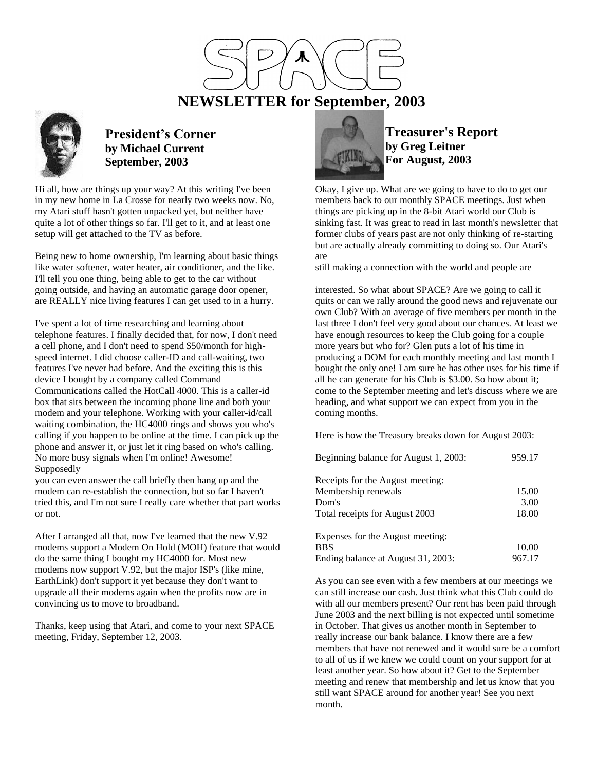# **NEWSLETTER for September, 2003**



## **President's Corner by Michael Current September, 2003**

Hi all, how are things up your way? At this writing I've been in my new home in La Crosse for nearly two weeks now. No, my Atari stuff hasn't gotten unpacked yet, but neither have quite a lot of other things so far. I'll get to it, and at least one setup will get attached to the TV as before.

Being new to home ownership, I'm learning about basic things like water softener, water heater, air conditioner, and the like. I'll tell you one thing, being able to get to the car without going outside, and having an automatic garage door opener, are REALLY nice living features I can get used to in a hurry.

I've spent a lot of time researching and learning about telephone features. I finally decided that, for now, I don't need a cell phone, and I don't need to spend \$50/month for highspeed internet. I did choose caller-ID and call-waiting, two features I've never had before. And the exciting this is this device I bought by a company called Command Communications called the HotCall 4000. This is a caller-id box that sits between the incoming phone line and both your modem and your telephone. Working with your caller-id/call waiting combination, the HC4000 rings and shows you who's calling if you happen to be online at the time. I can pick up the phone and answer it, or just let it ring based on who's calling. No more busy signals when I'm online! Awesome! Supposedly

you can even answer the call briefly then hang up and the modem can re-establish the connection, but so far I haven't tried this, and I'm not sure I really care whether that part works or not.

After I arranged all that, now I've learned that the new V.92 modems support a Modem On Hold (MOH) feature that would do the same thing I bought my HC4000 for. Most new modems now support V.92, but the major ISP's (like mine, EarthLink) don't support it yet because they don't want to upgrade all their modems again when the profits now are in convincing us to move to broadband.

Thanks, keep using that Atari, and come to your next SPACE meeting, Friday, September 12, 2003.



### **Treasurer's Report by Greg Leitner For August, 2003**

Okay, I give up. What are we going to have to do to get our members back to our monthly SPACE meetings. Just when things are picking up in the 8-bit Atari world our Club is sinking fast. It was great to read in last month's newsletter that former clubs of years past are not only thinking of re-starting but are actually already committing to doing so. Our Atari's are

still making a connection with the world and people are

interested. So what about SPACE? Are we going to call it quits or can we rally around the good news and rejuvenate our own Club? With an average of five members per month in the last three I don't feel very good about our chances. At least we have enough resources to keep the Club going for a couple more years but who for? Glen puts a lot of his time in producing a DOM for each monthly meeting and last month I bought the only one! I am sure he has other uses for his time if all he can generate for his Club is \$3.00. So how about it; come to the September meeting and let's discuss where we are heading, and what support we can expect from you in the coming months.

Here is how the Treasury breaks down for August 2003:

| Beginning balance for August 1, 2003: | 959.17 |
|---------------------------------------|--------|
| Receipts for the August meeting:      |        |
| Membership renewals                   | 15.00  |
| Dom's                                 | 3.00   |
| Total receipts for August 2003        | 18.00  |
| Expenses for the August meeting:      |        |
| <b>BBS</b>                            | 10.00  |
| Ending balance at August 31, 2003:    | 967.17 |

As you can see even with a few members at our meetings we can still increase our cash. Just think what this Club could do with all our members present? Our rent has been paid through June 2003 and the next billing is not expected until sometime in October. That gives us another month in September to really increase our bank balance. I know there are a few members that have not renewed and it would sure be a comfort to all of us if we knew we could count on your support for at least another year. So how about it? Get to the September meeting and renew that membership and let us know that you still want SPACE around for another year! See you next month.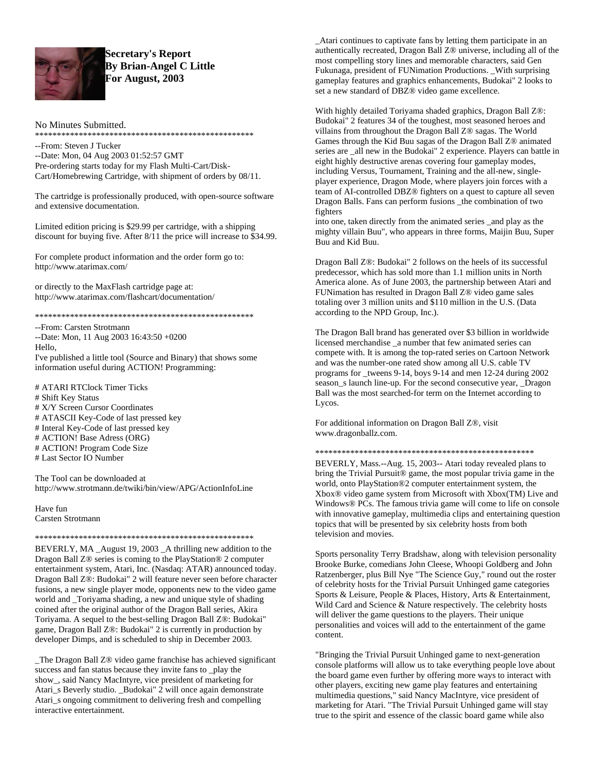

### **Secretary's Report By Brian-Angel C Little** For August, 2003

### No Minutes Submitted.

\*\*\*\*\*\*\*\*\*\*\*\*\*\*\*\*\*\*\*\*\*\*\*\*\*\*\*\*\*\*

--From: Steven J Tucker

--Date: Mon, 04 Aug 2003 01:52:57 GMT Pre-ordering starts today for my Flash Multi-Cart/Disk-Cart/Homebrewing Cartridge, with shipment of orders by 08/11.

The cartridge is professionally produced, with open-source software and extensive documentation.

Limited edition pricing is \$29.99 per cartridge, with a shipping discount for buying five. After 8/11 the price will increase to \$34.99.

For complete product information and the order form go to: http://www.atarimax.com/

or directly to the MaxFlash cartridge page at: http://www.atarimax.com/flashcart/documentation/

--From: Carsten Strotmann --Date: Mon, 11 Aug 2003 16:43:50 +0200 Hello. I've published a little tool (Source and Binary) that shows some information useful during ACTION! Programming:

# ATARI RTClock Timer Ticks # Shift Key Status # X/Y Screen Cursor Coordinates # ATASCII Key-Code of last pressed key # Interal Key-Code of last pressed key # ACTION! Base Adress (ORG) # ACTION! Program Code Size # Last Sector IO Number

The Tool can be downloaded at http://www.strotmann.de/twiki/bin/view/APG/ActionInfoLine

Have fun Carsten Strotmann

BEVERLY, MA\_August 19, 2003\_A thrilling new addition to the Dragon Ball Z® series is coming to the PlayStation® 2 computer entertainment system, Atari, Inc. (Nasdaq: ATAR) announced today. Dragon Ball Z®: Budokai" 2 will feature never seen before character fusions, a new single player mode, opponents new to the video game world and \_Toriyama shading, a new and unique style of shading coined after the original author of the Dragon Ball series, Akira Toriyama. A sequel to the best-selling Dragon Ball Z®: Budokai" game, Dragon Ball Z®: Budokai" 2 is currently in production by developer Dimps, and is scheduled to ship in December 2003.

The Dragon Ball Z® video game franchise has achieved significant success and fan status because they invite fans to \_play the show\_, said Nancy MacIntyre, vice president of marketing for Atari\_s Beverly studio. \_Budokai" 2 will once again demonstrate Atari\_s ongoing commitment to delivering fresh and compelling interactive entertainment.

\_Atari continues to captivate fans by letting them participate in an authentically recreated, Dragon Ball Z® universe, including all of the most compelling story lines and memorable characters, said Gen Fukunaga, president of FUNimation Productions. With surprising gameplay features and graphics enhancements, Budokai" 2 looks to set a new standard of DBZ® video game excellence.

With highly detailed Toriyama shaded graphics, Dragon Ball Z®: Budokai" 2 features 34 of the toughest, most seasoned heroes and villains from throughout the Dragon Ball Z® sagas. The World Games through the Kid Buu sagas of the Dragon Ball Z® animated series are \_all new in the Budokai" 2 experience. Players can battle in eight highly destructive arenas covering four gameplay modes, including Versus, Tournament, Training and the all-new, singleplayer experience, Dragon Mode, where players join forces with a team of AI-controlled DBZ® fighters on a quest to capture all seven Dragon Balls. Fans can perform fusions \_the combination of two fighters

into one, taken directly from the animated series \_and play as the mighty villain Buu", who appears in three forms, Maijin Buu, Super Buu and Kid Buu.

Dragon Ball Z®: Budokai" 2 follows on the heels of its successful predecessor, which has sold more than 1.1 million units in North America alone. As of June 2003, the partnership between Atari and FUNimation has resulted in Dragon Ball Z® video game sales totaling over 3 million units and \$110 million in the U.S. (Data according to the NPD Group, Inc.).

The Dragon Ball brand has generated over \$3 billion in worldwide licensed merchandise \_a number that few animated series can compete with. It is among the top-rated series on Cartoon Network and was the number-one rated show among all U.S. cable TV programs for \_tweens 9-14, boys 9-14 and men 12-24 during 2002 season s launch line-up. For the second consecutive year, Dragon Ball was the most searched-for term on the Internet according to Lycos.

For additional information on Dragon Ball Z®, visit www.dragonballz.com.

BEVERLY, Mass.--Aug. 15, 2003-- Atari today revealed plans to bring the Trivial Pursuit® game, the most popular trivia game in the world, onto PlayStation®2 computer entertainment system, the Xbox® video game system from Microsoft with Xbox(TM) Live and Windows® PCs. The famous trivia game will come to life on console with innovative gameplay, multimedia clips and entertaining question topics that will be presented by six celebrity hosts from both television and movies.

Sports personality Terry Bradshaw, along with television personality Brooke Burke, comedians John Cleese, Whoopi Goldberg and John Ratzenberger, plus Bill Nye "The Science Guy," round out the roster of celebrity hosts for the Trivial Pursuit Unhinged game categories Sports & Leisure, People & Places, History, Arts & Entertainment, Wild Card and Science & Nature respectively. The celebrity hosts will deliver the game questions to the players. Their unique personalities and voices will add to the entertainment of the game content.

"Bringing the Trivial Pursuit Unhinged game to next-generation" console platforms will allow us to take everything people love about the board game even further by offering more ways to interact with other players, exciting new game play features and entertaining multimedia questions," said Nancy MacIntyre, vice president of marketing for Atari. "The Trivial Pursuit Unhinged game will stay true to the spirit and essence of the classic board game while also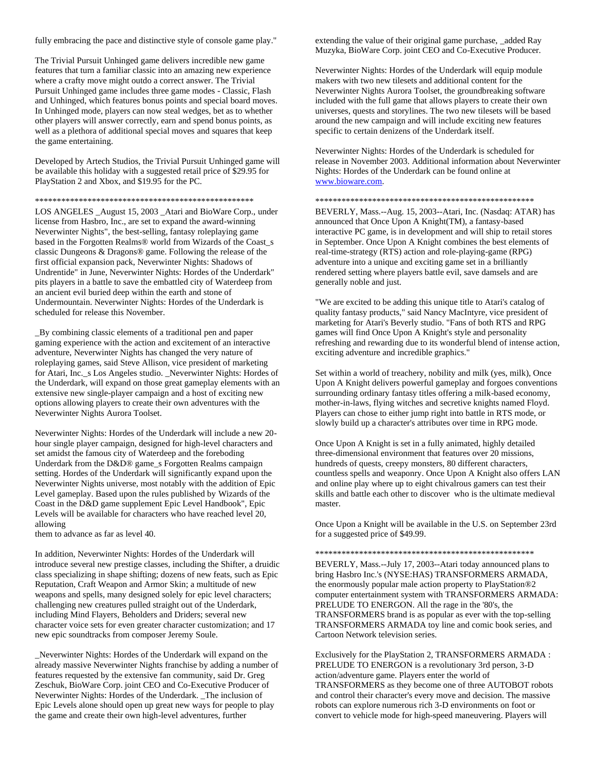fully embracing the pace and distinctive style of console game play."

The Trivial Pursuit Unhinged game delivers incredible new game features that turn a familiar classic into an amazing new experience where a crafty move might outdo a correct answer. The Trivial Pursuit Unhinged game includes three game modes - Classic, Flash and Unhinged, which features bonus points and special board moves. In Unhinged mode, players can now steal wedges, bet as to whether other players will answer correctly, earn and spend bonus points, as well as a plethora of additional special moves and squares that keep the game entertaining.

Developed by Artech Studios, the Trivial Pursuit Unhinged game will be available this holiday with a suggested retail price of \$29.95 for PlayStation 2 and Xbox, and \$19.95 for the PC.

#### \*\*\*\*\*\*\*\*\*\*\*\*\*\*\*\*\*\*\*\*\*\*\*\*\*\*\*\*\*\*\*\*\*\*\*\*\*\*\*\*\*\*\*\*\*\*\*\*\*\*

LOS ANGELES \_August 15, 2003 \_Atari and BioWare Corp., under license from Hasbro, Inc., are set to expand the award-winning Neverwinter Nights", the best-selling, fantasy roleplaying game based in the Forgotten Realms® world from Wizards of the Coast\_s classic Dungeons & Dragons® game. Following the release of the first official expansion pack, Neverwinter Nights: Shadows of Undrentide" in June, Neverwinter Nights: Hordes of the Underdark" pits players in a battle to save the embattled city of Waterdeep from an ancient evil buried deep within the earth and stone of Undermountain. Neverwinter Nights: Hordes of the Underdark is scheduled for release this November.

\_By combining classic elements of a traditional pen and paper gaming experience with the action and excitement of an interactive adventure, Neverwinter Nights has changed the very nature of roleplaying games, said Steve Allison, vice president of marketing for Atari, Inc.\_s Los Angeles studio. \_Neverwinter Nights: Hordes of the Underdark, will expand on those great gameplay elements with an extensive new single-player campaign and a host of exciting new options allowing players to create their own adventures with the Neverwinter Nights Aurora Toolset.

Neverwinter Nights: Hordes of the Underdark will include a new 20 hour single player campaign, designed for high-level characters and set amidst the famous city of Waterdeep and the foreboding Underdark from the D&D® game\_s Forgotten Realms campaign setting. Hordes of the Underdark will significantly expand upon the Neverwinter Nights universe, most notably with the addition of Epic Level gameplay. Based upon the rules published by Wizards of the Coast in the D&D game supplement Epic Level Handbook", Epic Levels will be available for characters who have reached level 20, allowing

them to advance as far as level 40.

In addition, Neverwinter Nights: Hordes of the Underdark will introduce several new prestige classes, including the Shifter, a druidic class specializing in shape shifting; dozens of new feats, such as Epic Reputation, Craft Weapon and Armor Skin; a multitude of new weapons and spells, many designed solely for epic level characters; challenging new creatures pulled straight out of the Underdark, including Mind Flayers, Beholders and Driders; several new character voice sets for even greater character customization; and 17 new epic soundtracks from composer Jeremy Soule.

\_Neverwinter Nights: Hordes of the Underdark will expand on the already massive Neverwinter Nights franchise by adding a number of features requested by the extensive fan community, said Dr. Greg Zeschuk, BioWare Corp. joint CEO and Co-Executive Producer of Neverwinter Nights: Hordes of the Underdark. \_The inclusion of Epic Levels alone should open up great new ways for people to play the game and create their own high-level adventures, further

extending the value of their original game purchase, \_added Ray Muzyka, BioWare Corp. joint CEO and Co-Executive Producer.

Neverwinter Nights: Hordes of the Underdark will equip module makers with two new tilesets and additional content for the Neverwinter Nights Aurora Toolset, the groundbreaking software included with the full game that allows players to create their own universes, quests and storylines. The two new tilesets will be based around the new campaign and will include exciting new features specific to certain denizens of the Underdark itself.

Neverwinter Nights: Hordes of the Underdark is scheduled for release in November 2003. Additional information about Neverwinter Nights: Hordes of the Underdark can be found online at [www.bioware.com.](http://www.bioware.com/)

#### \*\*\*\*\*\*\*\*\*\*\*\*\*\*\*\*\*\*\*\*\*\*\*\*\*\*\*\*\*\*\*\*\*\*\*\*\*\*\*\*\*\*\*\*\*\*\*\*\*\*

BEVERLY, Mass.--Aug. 15, 2003--Atari, Inc. (Nasdaq: ATAR) has announced that Once Upon A Knight(TM), a fantasy-based interactive PC game, is in development and will ship to retail stores in September. Once Upon A Knight combines the best elements of real-time-strategy (RTS) action and role-playing-game (RPG) adventure into a unique and exciting game set in a brilliantly rendered setting where players battle evil, save damsels and are generally noble and just.

"We are excited to be adding this unique title to Atari's catalog of quality fantasy products," said Nancy MacIntyre, vice president of marketing for Atari's Beverly studio. "Fans of both RTS and RPG games will find Once Upon A Knight's style and personality refreshing and rewarding due to its wonderful blend of intense action, exciting adventure and incredible graphics."

Set within a world of treachery, nobility and milk (yes, milk), Once Upon A Knight delivers powerful gameplay and forgoes conventions surrounding ordinary fantasy titles offering a milk-based economy, mother-in-laws, flying witches and secretive knights named Floyd. Players can chose to either jump right into battle in RTS mode, or slowly build up a character's attributes over time in RPG mode.

Once Upon A Knight is set in a fully animated, highly detailed three-dimensional environment that features over 20 missions, hundreds of quests, creepy monsters, 80 different characters, countless spells and weaponry. Once Upon A Knight also offers LAN and online play where up to eight chivalrous gamers can test their skills and battle each other to discover who is the ultimate medieval master.

Once Upon a Knight will be available in the U.S. on September 23rd for a suggested price of \$49.99.

#### \*\*\*\*\*\*\*\*\*\*\*\*\*\*\*\*\*\*\*\*\*\*\*\*\*\*\*\*\*\*\*\*\*\*\*\*\*\*\*\*\*\*\*\*\*\*\*\*\*\*

BEVERLY, Mass.--July 17, 2003--Atari today announced plans to bring Hasbro Inc.'s (NYSE:HAS) TRANSFORMERS ARMADA, the enormously popular male action property to PlayStation®2 computer entertainment system with TRANSFORMERS ARMADA: PRELUDE TO ENERGON. All the rage in the '80's, the TRANSFORMERS brand is as popular as ever with the top-selling TRANSFORMERS ARMADA toy line and comic book series, and Cartoon Network television series.

Exclusively for the PlayStation 2, TRANSFORMERS ARMADA : PRELUDE TO ENERGON is a revolutionary 3rd person, 3-D action/adventure game. Players enter the world of TRANSFORMERS as they become one of three AUTOBOT robots and control their character's every move and decision. The massive robots can explore numerous rich 3-D environments on foot or convert to vehicle mode for high-speed maneuvering. Players will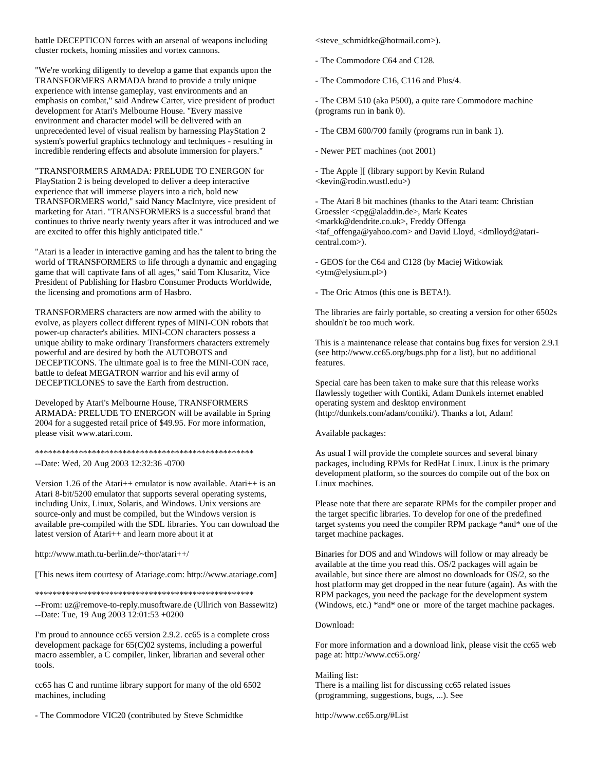battle DECEPTICON forces with an arsenal of weapons including cluster rockets, homing missiles and vortex cannons.

"We're working diligently to develop a game that expands upon the TRANSFORMERS ARMADA brand to provide a truly unique experience with intense gameplay, vast environments and an emphasis on combat," said Andrew Carter, vice president of product development for Atari's Melbourne House. "Every massive environment and character model will be delivered with an unprecedented level of visual realism by harnessing PlayStation 2 system's powerful graphics technology and techniques - resulting in incredible rendering effects and absolute immersion for players."

"TRANSFORMERS ARMADA: PRELUDE TO ENERGON for PlayStation 2 is being developed to deliver a deep interactive experience that will immerse players into a rich, bold new TRANSFORMERS world," said Nancy MacIntyre, vice president of marketing for Atari. "TRANSFORMERS is a successful brand that continues to thrive nearly twenty years after it was introduced and we are excited to offer this highly anticipated title."

"Atari is a leader in interactive gaming and has the talent to bring the world of TRANSFORMERS to life through a dynamic and engaging game that will captivate fans of all ages," said Tom Klusaritz, Vice President of Publishing for Hasbro Consumer Products Worldwide, the licensing and promotions arm of Hasbro.

TRANSFORMERS characters are now armed with the ability to evolve, as players collect different types of MINI-CON robots that power-up character's abilities. MINI-CON characters possess a unique ability to make ordinary Transformers characters extremely powerful and are desired by both the AUTOBOTS and DECEPTICONS. The ultimate goal is to free the MINI-CON race, battle to defeat MEGATRON warrior and his evil army of DECEPTICLONES to save the Earth from destruction.

Developed by Atari's Melbourne House, TRANSFORMERS ARMADA: PRELUDE TO ENERGON will be available in Spring 2004 for a suggested retail price of \$49.95. For more information, please visit www.atari.com.

\*\*\*\*\*\*\*\*\*\*\*\*\*\*\*\*\*\*\*\*\*\*\*\*\*\*\*\*\*\*\*\*\*\*\*\*\*\*\*\*\*\*\*\*\*\*\*\*\*\* --Date: Wed, 20 Aug 2003 12:32:36 -0700

Version 1.26 of the Atari++ emulator is now available. Atari++ is an Atari 8-bit/5200 emulator that supports several operating systems, including Unix, Linux, Solaris, and Windows. Unix versions are source-only and must be compiled, but the Windows version is available pre-compiled with the SDL libraries. You can download the latest version of Atari++ and learn more about it at

http://www.math.tu-berlin.de/~thor/atari++/

[This news item courtesy of Atariage.com: http://www.atariage.com]

\*\*\*\*\*\*\*\*\*\*\*\*\*\*\*\*\*\*\*\*\*\*\*\*\*\*\*\*\*\*\*\*\*\*\*\*\*\*\*\*\*\*\*\*\*\*\*\*\*\*

--From: uz@remove-to-reply.musoftware.de (Ullrich von Bassewitz) --Date: Tue, 19 Aug 2003 12:01:53 +0200

I'm proud to announce cc65 version 2.9.2. cc65 is a complete cross development package for 65(C)02 systems, including a powerful macro assembler, a C compiler, linker, librarian and several other tools.

cc65 has C and runtime library support for many of the old 6502 machines, including

- The Commodore VIC20 (contributed by Steve Schmidtke

<steve\_schmidtke@hotmail.com>).

- The Commodore C64 and C128.

- The Commodore C16, C116 and Plus/4.

- The CBM 510 (aka P500), a quite rare Commodore machine (programs run in bank 0).

- The CBM 600/700 family (programs run in bank 1).

- Newer PET machines (not 2001)

- The Apple ][ (library support by Kevin Ruland <kevin@rodin.wustl.edu>)

- The Atari 8 bit machines (thanks to the Atari team: Christian Groessler <cpg@aladdin.de>, Mark Keates <markk@dendrite.co.uk>, Freddy Offenga <taf\_offenga@yahoo.com> and David Lloyd, <dmlloyd@ataricentral.com>).

- GEOS for the C64 and C128 (by Maciej Witkowiak <ytm@elysium.pl>)

- The Oric Atmos (this one is BETA!).

The libraries are fairly portable, so creating a version for other 6502s shouldn't be too much work.

This is a maintenance release that contains bug fixes for version 2.9.1 (see http://www.cc65.org/bugs.php for a list), but no additional features.

Special care has been taken to make sure that this release works flawlessly together with Contiki, Adam Dunkels internet enabled operating system and desktop environment (http://dunkels.com/adam/contiki/). Thanks a lot, Adam!

#### Available packages:

As usual I will provide the complete sources and several binary packages, including RPMs for RedHat Linux. Linux is the primary development platform, so the sources do compile out of the box on Linux machines.

Please note that there are separate RPMs for the compiler proper and the target specific libraries. To develop for one of the predefined target systems you need the compiler RPM package \*and\* one of the target machine packages.

Binaries for DOS and and Windows will follow or may already be available at the time you read this. OS/2 packages will again be available, but since there are almost no downloads for OS/2, so the host platform may get dropped in the near future (again). As with the RPM packages, you need the package for the development system (Windows, etc.) \*and\* one or more of the target machine packages.

#### Download:

For more information and a download link, please visit the cc65 web page at: http://www.cc65.org/

Mailing list: There is a mailing list for discussing cc65 related issues (programming, suggestions, bugs, ...). See

http://www.cc65.org/#List